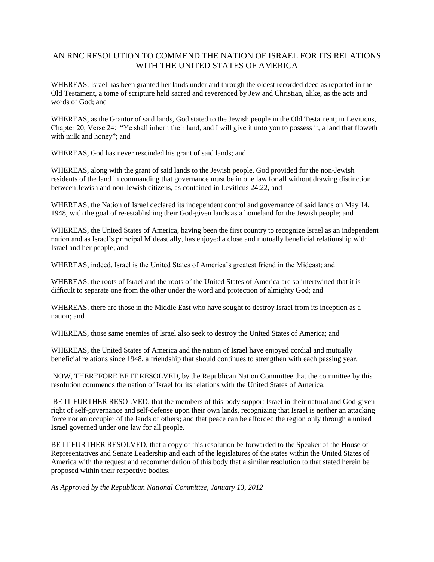# AN RNC RESOLUTION TO COMMEND THE NATION OF ISRAEL FOR ITS RELATIONS WITH THE UNITED STATES OF AMERICA

WHEREAS, Israel has been granted her lands under and through the oldest recorded deed as reported in the Old Testament, a tome of scripture held sacred and reverenced by Jew and Christian, alike, as the acts and words of God; and

WHEREAS, as the Grantor of said lands, God stated to the Jewish people in the Old Testament; in Leviticus, Chapter 20, Verse 24: "Ye shall inherit their land, and I will give it unto you to possess it, a land that floweth with milk and honey"; and

WHEREAS, God has never rescinded his grant of said lands; and

WHEREAS, along with the grant of said lands to the Jewish people, God provided for the non-Jewish residents of the land in commanding that governance must be in one law for all without drawing distinction between Jewish and non-Jewish citizens, as contained in Leviticus 24:22, and

WHEREAS, the Nation of Israel declared its independent control and governance of said lands on May 14, 1948, with the goal of re-establishing their God-given lands as a homeland for the Jewish people; and

WHEREAS, the United States of America, having been the first country to recognize Israel as an independent nation and as Israel's principal Mideast ally, has enjoyed a close and mutually beneficial relationship with Israel and her people; and

WHEREAS, indeed, Israel is the United States of America's greatest friend in the Mideast; and

WHEREAS, the roots of Israel and the roots of the United States of America are so intertwined that it is difficult to separate one from the other under the word and protection of almighty God; and

WHEREAS, there are those in the Middle East who have sought to destroy Israel from its inception as a nation; and

WHEREAS, those same enemies of Israel also seek to destroy the United States of America; and

WHEREAS, the United States of America and the nation of Israel have enjoyed cordial and mutually beneficial relations since 1948, a friendship that should continues to strengthen with each passing year.

NOW, THEREFORE BE IT RESOLVED, by the Republican Nation Committee that the committee by this resolution commends the nation of Israel for its relations with the United States of America.

BE IT FURTHER RESOLVED, that the members of this body support Israel in their natural and God-given right of self-governance and self-defense upon their own lands, recognizing that Israel is neither an attacking force nor an occupier of the lands of others; and that peace can be afforded the region only through a united Israel governed under one law for all people.

BE IT FURTHER RESOLVED, that a copy of this resolution be forwarded to the Speaker of the House of Representatives and Senate Leadership and each of the legislatures of the states within the United States of America with the request and recommendation of this body that a similar resolution to that stated herein be proposed within their respective bodies.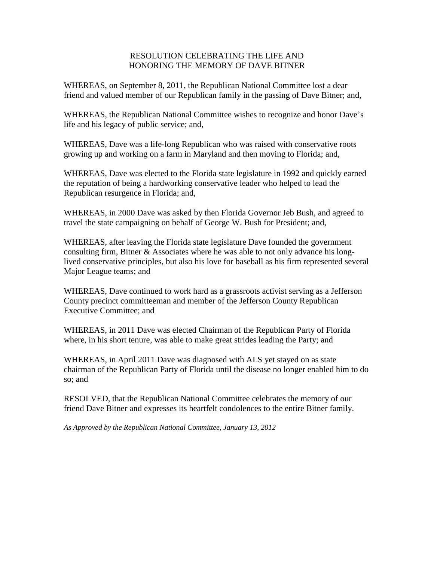## RESOLUTION CELEBRATING THE LIFE AND HONORING THE MEMORY OF DAVE BITNER

WHEREAS, on September 8, 2011, the Republican National Committee lost a dear friend and valued member of our Republican family in the passing of Dave Bitner; and,

WHEREAS, the Republican National Committee wishes to recognize and honor Dave's life and his legacy of public service; and,

WHEREAS, Dave was a life-long Republican who was raised with conservative roots growing up and working on a farm in Maryland and then moving to Florida; and,

WHEREAS, Dave was elected to the Florida state legislature in 1992 and quickly earned the reputation of being a hardworking conservative leader who helped to lead the Republican resurgence in Florida; and,

WHEREAS, in 2000 Dave was asked by then Florida Governor Jeb Bush, and agreed to travel the state campaigning on behalf of George W. Bush for President; and,

WHEREAS, after leaving the Florida state legislature Dave founded the government consulting firm, Bitner & Associates where he was able to not only advance his longlived conservative principles, but also his love for baseball as his firm represented several Major League teams; and

WHEREAS, Dave continued to work hard as a grassroots activist serving as a Jefferson County precinct committeeman and member of the Jefferson County Republican Executive Committee; and

WHEREAS, in 2011 Dave was elected Chairman of the Republican Party of Florida where, in his short tenure, was able to make great strides leading the Party; and

WHEREAS, in April 2011 Dave was diagnosed with ALS yet stayed on as state chairman of the Republican Party of Florida until the disease no longer enabled him to do so; and

RESOLVED, that the Republican National Committee celebrates the memory of our friend Dave Bitner and expresses its heartfelt condolences to the entire Bitner family.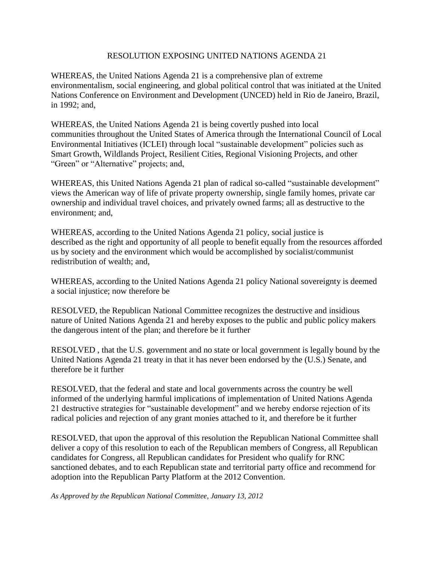### RESOLUTION EXPOSING UNITED NATIONS AGENDA 21

WHEREAS, the United Nations Agenda 21 is a comprehensive plan of extreme environmentalism, social engineering, and global political control that was initiated at the United Nations Conference on Environment and Development (UNCED) held in Rio de Janeiro, Brazil, in 1992; and,

WHEREAS, the United Nations Agenda 21 is being covertly pushed into local communities throughout the United States of America through the International Council of Local Environmental Initiatives (ICLEI) through local "sustainable development" policies such as Smart Growth, Wildlands Project, Resilient Cities, Regional Visioning Projects, and other "Green" or "Alternative" projects; and,

WHEREAS, this United Nations Agenda 21 plan of radical so-called "sustainable development" views the American way of life of private property ownership, single family homes, private car ownership and individual travel choices, and privately owned farms; all as destructive to the environment; and,

WHEREAS, according to the United Nations Agenda 21 policy, social justice is described as the right and opportunity of all people to benefit equally from the resources afforded us by society and the environment which would be accomplished by socialist/communist redistribution of wealth; and,

WHEREAS, according to the United Nations Agenda 21 policy National sovereignty is deemed a social injustice; now therefore be

RESOLVED, the Republican National Committee recognizes the destructive and insidious nature of United Nations Agenda 21 and hereby exposes to the public and public policy makers the dangerous intent of the plan; and therefore be it further

RESOLVED , that the U.S. government and no state or local government is legally bound by the United Nations Agenda 21 treaty in that it has never been endorsed by the (U.S.) Senate, and therefore be it further

RESOLVED, that the federal and state and local governments across the country be well informed of the underlying harmful implications of implementation of United Nations Agenda 21 destructive strategies for "sustainable development" and we hereby endorse rejection of its radical policies and rejection of any grant monies attached to it, and therefore be it further

RESOLVED, that upon the approval of this resolution the Republican National Committee shall deliver a copy of this resolution to each of the Republican members of Congress, all Republican candidates for Congress, all Republican candidates for President who qualify for RNC sanctioned debates, and to each Republican state and territorial party office and recommend for adoption into the Republican Party Platform at the 2012 Convention.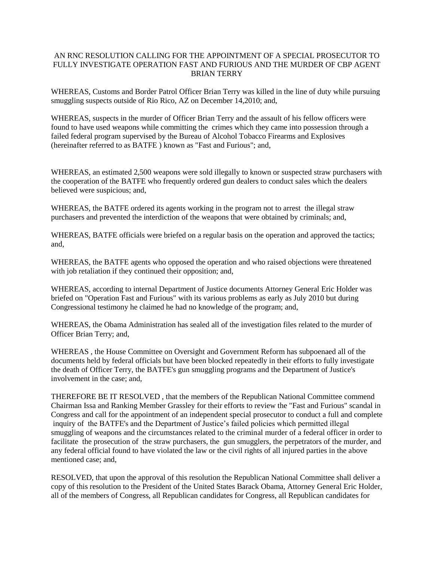#### AN RNC RESOLUTION CALLING FOR THE APPOINTMENT OF A SPECIAL PROSECUTOR TO FULLY INVESTIGATE OPERATION FAST AND FURIOUS AND THE MURDER OF CBP AGENT BRIAN TERRY

WHEREAS, Customs and Border Patrol Officer Brian Terry was killed in the line of duty while pursuing smuggling suspects outside of Rio Rico, AZ on December 14,2010; and,

WHEREAS, suspects in the murder of Officer Brian Terry and the assault of his fellow officers were found to have used weapons while committing the crimes which they came into possession through a failed federal program supervised by the Bureau of Alcohol Tobacco Firearms and Explosives (hereinafter referred to as BATFE ) known as "Fast and Furious"; and,

WHEREAS, an estimated 2,500 weapons were sold illegally to known or suspected straw purchasers with the cooperation of the BATFE who frequently ordered gun dealers to conduct sales which the dealers believed were suspicious; and,

WHEREAS, the BATFE ordered its agents working in the program not to arrest the illegal straw purchasers and prevented the interdiction of the weapons that were obtained by criminals; and,

WHEREAS, BATFE officials were briefed on a regular basis on the operation and approved the tactics; and,

WHEREAS, the BATFE agents who opposed the operation and who raised objections were threatened with job retaliation if they continued their opposition; and,

WHEREAS, according to internal Department of Justice documents Attorney General Eric Holder was briefed on "Operation Fast and Furious" with its various problems as early as July 2010 but during Congressional testimony he claimed he had no knowledge of the program; and,

WHEREAS, the Obama Administration has sealed all of the investigation files related to the murder of Officer Brian Terry; and,

WHEREAS , the House Committee on Oversight and Government Reform has subpoenaed all of the documents held by federal officials but have been blocked repeatedly in their efforts to fully investigate the death of Officer Terry, the BATFE's gun smuggling programs and the Department of Justice's involvement in the case; and,

THEREFORE BE IT RESOLVED , that the members of the Republican National Committee commend Chairman Issa and Ranking Member Grassley for their efforts to review the "Fast and Furious" scandal in Congress and call for the appointment of an independent special prosecutor to conduct a full and complete inquiry of the BATFE's and the Department of Justice's failed policies which permitted illegal smuggling of weapons and the circumstances related to the criminal murder of a federal officer in order to facilitate the prosecution of the straw purchasers, the gun smugglers, the perpetrators of the murder, and any federal official found to have violated the law or the civil rights of all injured parties in the above mentioned case; and,

RESOLVED, that upon the approval of this resolution the Republican National Committee shall deliver a copy of this resolution to the President of the United States Barack Obama, Attorney General Eric Holder, all of the members of Congress, all Republican candidates for Congress, all Republican candidates for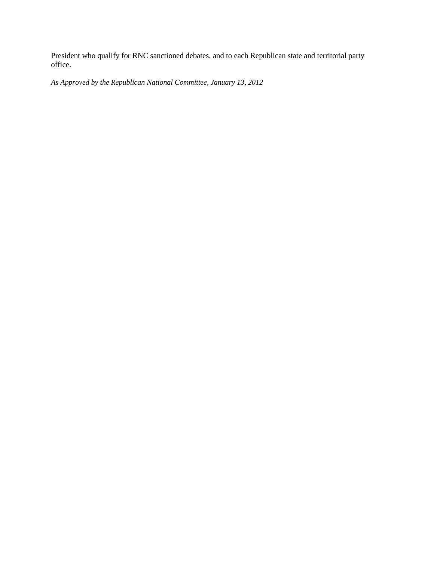President who qualify for RNC sanctioned debates, and to each Republican state and territorial party office.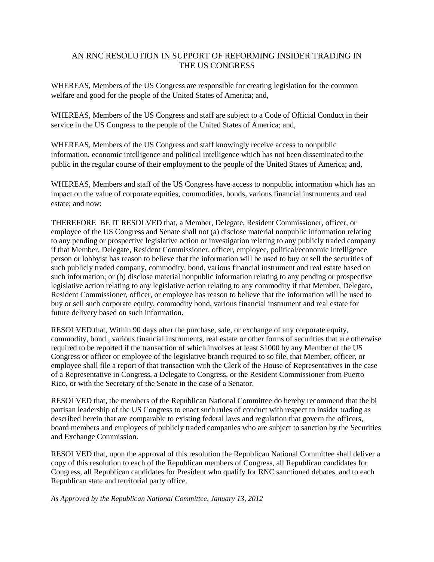## AN RNC RESOLUTION IN SUPPORT OF REFORMING INSIDER TRADING IN THE US CONGRESS

WHEREAS, Members of the US Congress are responsible for creating legislation for the common welfare and good for the people of the United States of America; and,

WHEREAS, Members of the US Congress and staff are subject to a Code of Official Conduct in their service in the US Congress to the people of the United States of America; and,

WHEREAS, Members of the US Congress and staff knowingly receive access to nonpublic information, economic intelligence and political intelligence which has not been disseminated to the public in the regular course of their employment to the people of the United States of America; and,

WHEREAS, Members and staff of the US Congress have access to nonpublic information which has an impact on the value of corporate equities, commodities, bonds, various financial instruments and real estate; and now:

THEREFORE BE IT RESOLVED that, a Member, Delegate, Resident Commissioner, officer, or employee of the US Congress and Senate shall not (a) disclose material nonpublic information relating to any pending or prospective legislative action or investigation relating to any publicly traded company if that Member, Delegate, Resident Commissioner, officer, employee, political/economic intelligence person or lobbyist has reason to believe that the information will be used to buy or sell the securities of such publicly traded company, commodity, bond, various financial instrument and real estate based on such information; or (b) disclose material nonpublic information relating to any pending or prospective legislative action relating to any legislative action relating to any commodity if that Member, Delegate, Resident Commissioner, officer, or employee has reason to believe that the information will be used to buy or sell such corporate equity, commodity bond, various financial instrument and real estate for future delivery based on such information.

RESOLVED that, Within 90 days after the purchase, sale, or exchange of any corporate equity, commodity, bond , various financial instruments, real estate or other forms of securities that are otherwise required to be reported if the transaction of which involves at least \$1000 by any Member of the US Congress or officer or employee of the legislative branch required to so file, that Member, officer, or employee shall file a report of that transaction with the Clerk of the House of Representatives in the case of a Representative in Congress, a Delegate to Congress, or the Resident Commissioner from Puerto Rico, or with the Secretary of the Senate in the case of a Senator.

RESOLVED that, the members of the Republican National Committee do hereby recommend that the bi partisan leadership of the US Congress to enact such rules of conduct with respect to insider trading as described herein that are comparable to existing federal laws and regulation that govern the officers, board members and employees of publicly traded companies who are subject to sanction by the Securities and Exchange Commission.

RESOLVED that, upon the approval of this resolution the Republican National Committee shall deliver a copy of this resolution to each of the Republican members of Congress, all Republican candidates for Congress, all Republican candidates for President who qualify for RNC sanctioned debates, and to each Republican state and territorial party office.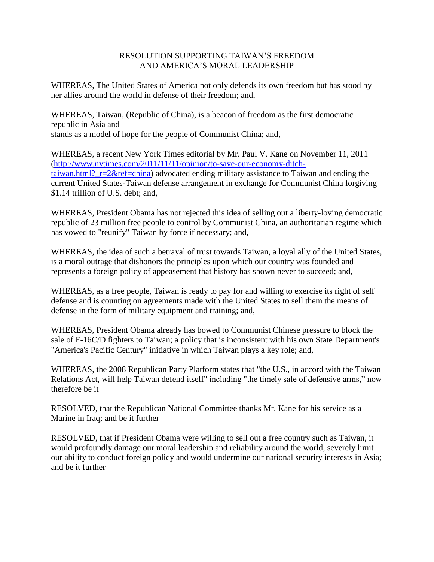## RESOLUTION SUPPORTING TAIWAN'S FREEDOM AND AMERICA'S MORAL LEADERSHIP

WHEREAS, The United States of America not only defends its own freedom but has stood by her allies around the world in defense of their freedom; and,

WHEREAS, Taiwan, (Republic of China), is a beacon of freedom as the first democratic republic in Asia and stands as a model of hope for the people of Communist China; and,

WHEREAS, a recent New York Times editorial by Mr. Paul V. Kane on November 11, 2011 [\(http://www.nytimes.com/2011/11/11/opinion/to-save-our-economy-ditch](http://www.nytimes.com/2011/11/11/opinion/to-save-our-economy-ditch-taiwan.html?_r=2&ref=china)taiwan.html?  $r=2$ &ref=china) advocated ending military assistance to Taiwan and ending the current United States-Taiwan defense arrangement in exchange for Communist China forgiving \$1.14 trillion of U.S. debt; and,

WHEREAS, President Obama has not rejected this idea of selling out a liberty-loving democratic republic of 23 million free people to control by Communist China, an authoritarian regime which has vowed to "reunify" Taiwan by force if necessary; and,

WHEREAS, the idea of such a betrayal of trust towards Taiwan, a loyal ally of the United States, is a moral outrage that dishonors the principles upon which our country was founded and represents a foreign policy of appeasement that history has shown never to succeed; and,

WHEREAS, as a free people, Taiwan is ready to pay for and willing to exercise its right of self defense and is counting on agreements made with the United States to sell them the means of defense in the form of military equipment and training; and,

WHEREAS, President Obama already has bowed to Communist Chinese pressure to block the sale of F-16C/D fighters to Taiwan; a policy that is inconsistent with his own State Department's "America's Pacific Century" initiative in which Taiwan plays a key role; and,

WHEREAS, the 2008 Republican Party Platform states that "the U.S., in accord with the Taiwan Relations Act, will help Taiwan defend itself" including "the timely sale of defensive arms," now therefore be it

RESOLVED, that the Republican National Committee thanks Mr. Kane for his service as a Marine in Iraq; and be it further

RESOLVED, that if President Obama were willing to sell out a free country such as Taiwan, it would profoundly damage our moral leadership and reliability around the world, severely limit our ability to conduct foreign policy and would undermine our national security interests in Asia; and be it further